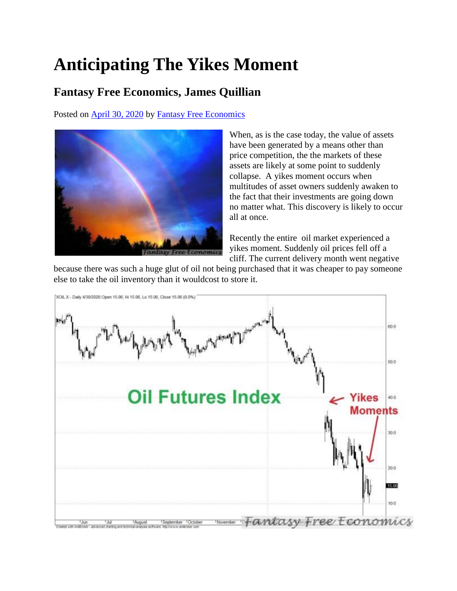## **Anticipating The Yikes Moment**

## **Fantasy Free Economics, James Quillian**

Posted on [April 30, 2020](http://quillian.net/blog/?p=7039) by [Fantasy Free Economics](http://quillian.net/blog/author/james-quillian/)



When, as is the case today, the value of assets have been generated by a means other than price competition, the the markets of these assets are likely at some point to suddenly collapse. A yikes moment occurs when multitudes of asset owners suddenly awaken to the fact that their investments are going down no matter what. This discovery is likely to occur all at once.

Recently the entire oil market experienced a yikes moment. Suddenly oil prices fell off a cliff. The current delivery month went negative

because there was such a huge glut of oil not being purchased that it was cheaper to pay someone else to take the oil inventory than it wouldcost to store it.

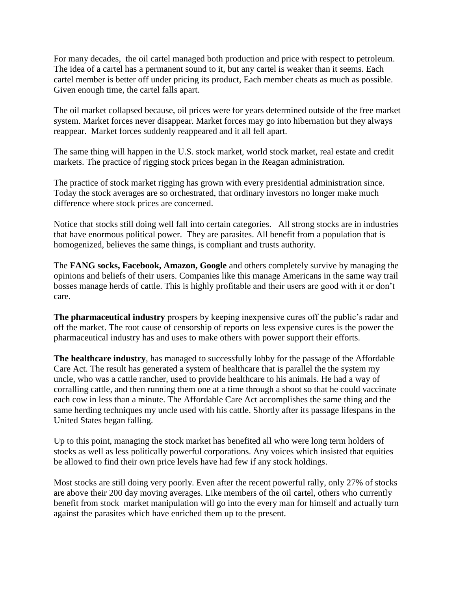For many decades, the oil cartel managed both production and price with respect to petroleum. The idea of a cartel has a permanent sound to it, but any cartel is weaker than it seems. Each cartel member is better off under pricing its product, Each member cheats as much as possible. Given enough time, the cartel falls apart.

The oil market collapsed because, oil prices were for years determined outside of the free market system. Market forces never disappear. Market forces may go into hibernation but they always reappear. Market forces suddenly reappeared and it all fell apart.

The same thing will happen in the U.S. stock market, world stock market, real estate and credit markets. The practice of rigging stock prices began in the Reagan administration.

The practice of stock market rigging has grown with every presidential administration since. Today the stock averages are so orchestrated, that ordinary investors no longer make much difference where stock prices are concerned.

Notice that stocks still doing well fall into certain categories. All strong stocks are in industries that have enormous political power. They are parasites. All benefit from a population that is homogenized, believes the same things, is compliant and trusts authority.

The **FANG socks, Facebook, Amazon, Google** and others completely survive by managing the opinions and beliefs of their users. Companies like this manage Americans in the same way trail bosses manage herds of cattle. This is highly profitable and their users are good with it or don't care.

**The pharmaceutical industry** prospers by keeping inexpensive cures off the public's radar and off the market. The root cause of censorship of reports on less expensive cures is the power the pharmaceutical industry has and uses to make others with power support their efforts.

**The healthcare industry**, has managed to successfully lobby for the passage of the Affordable Care Act. The result has generated a system of healthcare that is parallel the the system my uncle, who was a cattle rancher, used to provide healthcare to his animals. He had a way of corralling cattle, and then running them one at a time through a shoot so that he could vaccinate each cow in less than a minute. The Affordable Care Act accomplishes the same thing and the same herding techniques my uncle used with his cattle. Shortly after its passage lifespans in the United States began falling.

Up to this point, managing the stock market has benefited all who were long term holders of stocks as well as less politically powerful corporations. Any voices which insisted that equities be allowed to find their own price levels have had few if any stock holdings.

Most stocks are still doing very poorly. Even after the recent powerful rally, only 27% of stocks are above their 200 day moving averages. Like members of the oil cartel, others who currently benefit from stock market manipulation will go into the every man for himself and actually turn against the parasites which have enriched them up to the present.